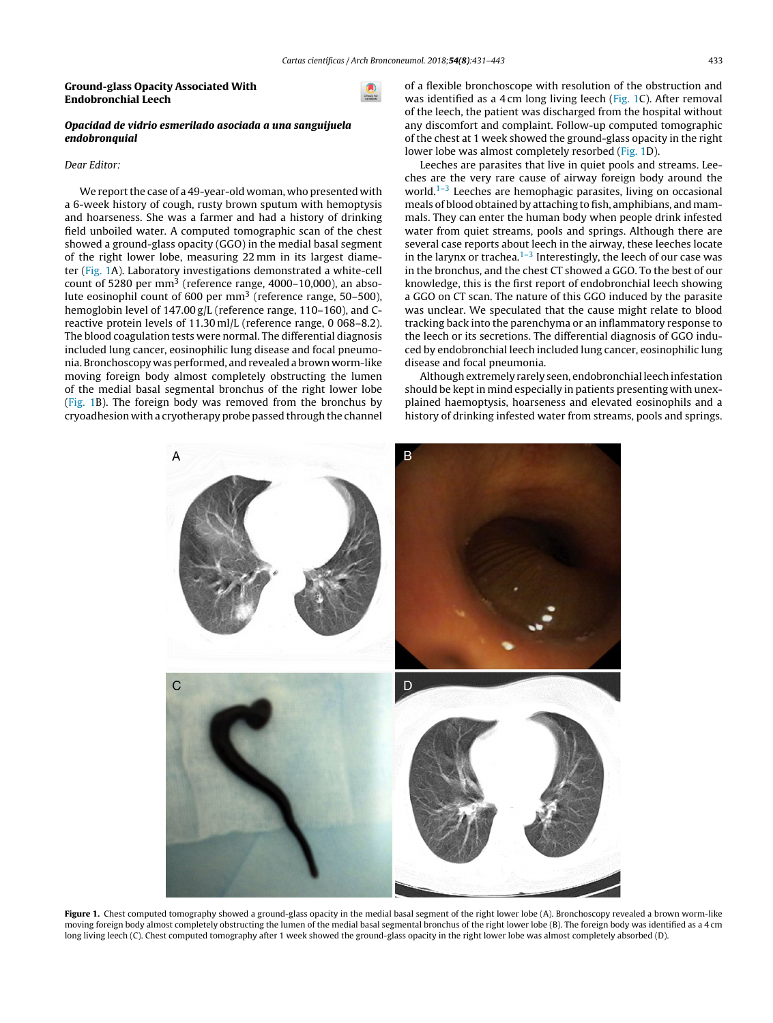#### Ground-glass Opacity Associated With Endobronchial Leech

## Opacidad de vidrio esmerilado asociada a una sanguijuela endobronquial

# Dear Editor:

We report the case of a 49-year-old woman, who presented with a 6-week history of cough, rusty brown sputum with hemoptysis and hoarseness. She was a farmer and had a history of drinking field unboiled water. A computed tomographic scan of the chest showed a ground-glass opacity (GGO) in the medial basal seg[ment](http://crossmark.crossref.org/dialog/?doi=10.1016/j.arbres.2017.10.022&domain=pdf) of the right lower lobe, measuring 22 mm in its largest diameter (Fig. 1A). Laboratory investigations demonstrated a white-cell count of 5280 per mm<sup>3</sup> (reference range, 4000–10,000), an absolute eosinophil count of 600 per mm<sup>3</sup> (reference range, 50–500), hemoglobin level of 147.00 g/L (reference range, 110–160), and Creactive protein levels of 11.30 ml/L (reference range, 0 068–8.2). The blood coagulation tests were normal. The differential diagnosis included lung cancer, eosinophilic lung disease and focal pneumonia. Bronchoscopy was performed, and revealed a brown worm-like moving foreign body almost completely obstructing the lumen of the medial basal segmental bronchus of the right lower lobe (Fig. 1B). The foreign body was removed from the bronchus by cryoadhesion with a cryotherapy probe passed through the channel of a flexible bronchoscope with resolution of the obstruction and was identified as a 4 cm long living leech (Fig. 1C). After removal of the leech, the patient was discharged from the hospital without any discomfort and complaint. Follow-up computed tomographic of the chest at 1 week showed the ground-glass opacity in the right lower lobe was almost completely resorbed (Fig. 1D).

[Leeches](http://www.archbronconeumol.org) are parasites that live in quiet pools and streams. Leeches are the very rare cause of airway foreign body around the world.<sup>[1–3](#page-1-0)</sup> Leeches are hemophagic parasites, living on occasional meals of blood obtained by attaching to fish, amphibians, and mammals. They can enter the human body when people drink infested water from quiet streams, pools and springs. Although there are several case reports about leech in the airway, these leeches locate in [the](http://refhub.elsevier.com/S0300-2896(17)30318-6/sbref0070) [larynx](http://refhub.elsevier.com/S0300-2896(17)30318-6/sbref0070) or tr[achea.](http://refhub.elsevier.com/S0300-2896(17)30318-6/sbref0070)<sup>1-3</sup> I[nterestingly,](http://refhub.elsevier.com/S0300-2896(17)30318-6/sbref0070) t[he](http://refhub.elsevier.com/S0300-2896(17)30318-6/sbref0070) l[eech](http://refhub.elsevier.com/S0300-2896(17)30318-6/sbref0070) of ou[r](http://refhub.elsevier.com/S0300-2896(17)30318-6/sbref0070) [case](http://refhub.elsevier.com/S0300-2896(17)30318-6/sbref0070) was in [the](http://refhub.elsevier.com/S0300-2896(17)30318-6/sbref0070) [bronchus](http://refhub.elsevier.com/S0300-2896(17)30318-6/sbref0070), [and](http://refhub.elsevier.com/S0300-2896(17)30318-6/sbref0070) t[he](http://refhub.elsevier.com/S0300-2896(17)30318-6/sbref0070) [chest](http://refhub.elsevier.com/S0300-2896(17)30318-6/sbref0070) [CT](http://refhub.elsevier.com/S0300-2896(17)30318-6/sbref0070) s[howed](http://refhub.elsevier.com/S0300-2896(17)30318-6/sbref0070) a [GGO.](http://refhub.elsevier.com/S0300-2896(17)30318-6/sbref0070) To t[he](http://refhub.elsevier.com/S0300-2896(17)30318-6/sbref0070) [best](http://refhub.elsevier.com/S0300-2896(17)30318-6/sbref0070) of our [knowledge,](http://refhub.elsevier.com/S0300-2896(17)30318-6/sbref0075) t[his](http://refhub.elsevier.com/S0300-2896(17)30318-6/sbref0075) is [the](http://refhub.elsevier.com/S0300-2896(17)30318-6/sbref0075) first [repor](http://refhub.elsevier.com/S0300-2896(17)30318-6/sbref0075)t [of](http://refhub.elsevier.com/S0300-2896(17)30318-6/sbref0075) [endobronch](http://refhub.elsevier.com/S0300-2896(17)30318-6/sbref0075)ial [leech](http://refhub.elsevier.com/S0300-2896(17)30318-6/sbref0075) s[howi](http://refhub.elsevier.com/S0300-2896(17)30318-6/sbref0075)ng a [GGO](http://refhub.elsevier.com/S0300-2896(17)30318-6/sbref0075) on CT [scan.](http://refhub.elsevier.com/S0300-2896(17)30318-6/sbref0075) The [nature](http://refhub.elsevier.com/S0300-2896(17)30318-6/sbref0075) of [this](http://refhub.elsevier.com/S0300-2896(17)30318-6/sbref0075) GGO induced by the parasite [was](http://refhub.elsevier.com/S0300-2896(17)30318-6/sbref0080) un[clear.](http://refhub.elsevier.com/S0300-2896(17)30318-6/sbref0080) [We](http://refhub.elsevier.com/S0300-2896(17)30318-6/sbref0080) [speculated](http://refhub.elsevier.com/S0300-2896(17)30318-6/sbref0080) [that](http://refhub.elsevier.com/S0300-2896(17)30318-6/sbref0080) [the](http://refhub.elsevier.com/S0300-2896(17)30318-6/sbref0080) [cause](http://refhub.elsevier.com/S0300-2896(17)30318-6/sbref0080) [might](http://refhub.elsevier.com/S0300-2896(17)30318-6/sbref0080) [relate](http://refhub.elsevier.com/S0300-2896(17)30318-6/sbref0080) to [blo](http://refhub.elsevier.com/S0300-2896(17)30318-6/sbref0080)od [tracking](http://refhub.elsevier.com/S0300-2896(17)30318-6/sbref0080) back [into](http://refhub.elsevier.com/S0300-2896(17)30318-6/sbref0080) the [parenchyma](http://refhub.elsevier.com/S0300-2896(17)30318-6/sbref0080) or an in[flammatory](http://refhub.elsevier.com/S0300-2896(17)30318-6/sbref0080) r[esponse](http://refhub.elsevier.com/S0300-2896(17)30318-6/sbref0080) to the [leech](http://refhub.elsevier.com/S0300-2896(17)30318-6/sbref0080) or its [secretions.](http://refhub.elsevier.com/S0300-2896(17)30318-6/sbref0080) The [differential](http://refhub.elsevier.com/S0300-2896(17)30318-6/sbref0080) [dia](http://refhub.elsevier.com/S0300-2896(17)30318-6/sbref0080)gnosis of GGO indu[ced](http://refhub.elsevier.com/S0300-2896(17)30318-6/sbref0085) by [endobronchial](http://refhub.elsevier.com/S0300-2896(17)30318-6/sbref0085) l[eech](http://refhub.elsevier.com/S0300-2896(17)30318-6/sbref0085) [included](http://refhub.elsevier.com/S0300-2896(17)30318-6/sbref0085) [lung](http://refhub.elsevier.com/S0300-2896(17)30318-6/sbref0085) [cancer,](http://refhub.elsevier.com/S0300-2896(17)30318-6/sbref0085) [eosinophilic](http://refhub.elsevier.com/S0300-2896(17)30318-6/sbref0085) [lu](http://refhub.elsevier.com/S0300-2896(17)30318-6/sbref0085)ng [disease](http://refhub.elsevier.com/S0300-2896(17)30318-6/sbref0085) and [foc](http://refhub.elsevier.com/S0300-2896(17)30318-6/sbref0085)al [pneumonia](http://refhub.elsevier.com/S0300-2896(17)30318-6/sbref0085).

Although extremely [rarely](http://refhub.elsevier.com/S0300-2896(17)30318-6/sbref0090) s[een](http://refhub.elsevier.com/S0300-2896(17)30318-6/sbref0090), endobronchial leech infestation [should](http://refhub.elsevier.com/S0300-2896(17)30318-6/sbref0090) be [kept](http://refhub.elsevier.com/S0300-2896(17)30318-6/sbref0090) in [mind](http://refhub.elsevier.com/S0300-2896(17)30318-6/sbref0090) e[spe](http://refhub.elsevier.com/S0300-2896(17)30318-6/sbref0095)[cially](http://refhub.elsevier.com/S0300-2896(17)30318-6/sbref0090) [in](http://refhub.elsevier.com/S0300-2896(17)30318-6/sbref0095) [patients](http://refhub.elsevier.com/S0300-2896(17)30318-6/sbref0090) [presenting](http://refhub.elsevier.com/S0300-2896(17)30318-6/sbref0090) [w](http://refhub.elsevier.com/S0300-2896(17)30318-6/sbref0095)[it](http://refhub.elsevier.com/S0300-2896(17)30318-6/sbref0090)h [une](http://refhub.elsevier.com/S0300-2896(17)30318-6/sbref0095)x[plaine](http://refhub.elsevier.com/S0300-2896(17)30318-6/sbref0095)d [haemoptysis,](http://refhub.elsevier.com/S0300-2896(17)30318-6/sbref0095) hoa[rseness](http://refhub.elsevier.com/S0300-2896(17)30318-6/sbref0095) [and](http://refhub.elsevier.com/S0300-2896(17)30318-6/sbref0095) [elevated](http://refhub.elsevier.com/S0300-2896(17)30318-6/sbref0095) e[osinophils](http://refhub.elsevier.com/S0300-2896(17)30318-6/sbref0095) [and](http://refhub.elsevier.com/S0300-2896(17)30318-6/sbref0095) a [history](http://refhub.elsevier.com/S0300-2896(17)30318-6/sbref0095) of [drink](http://refhub.elsevier.com/S0300-2896(17)30318-6/sbref0095)ing infested water from streams, pools and springs.



Figure 1. Chest computed tomography showed a ground-glass opacity in the medial basal segment of the right lower lobe (A). Bronchoscopy revealed a brown worm-like moving foreign body almost completely obstructing the lumen of the medial basal segmental bronchus of the right lower lobe (B). The foreign body was identified as a 4 cm long living leech (C). Chest computed tomography after 1 week showed the ground-glass opacity in the right lower lobe was almost completely absorbed (D).